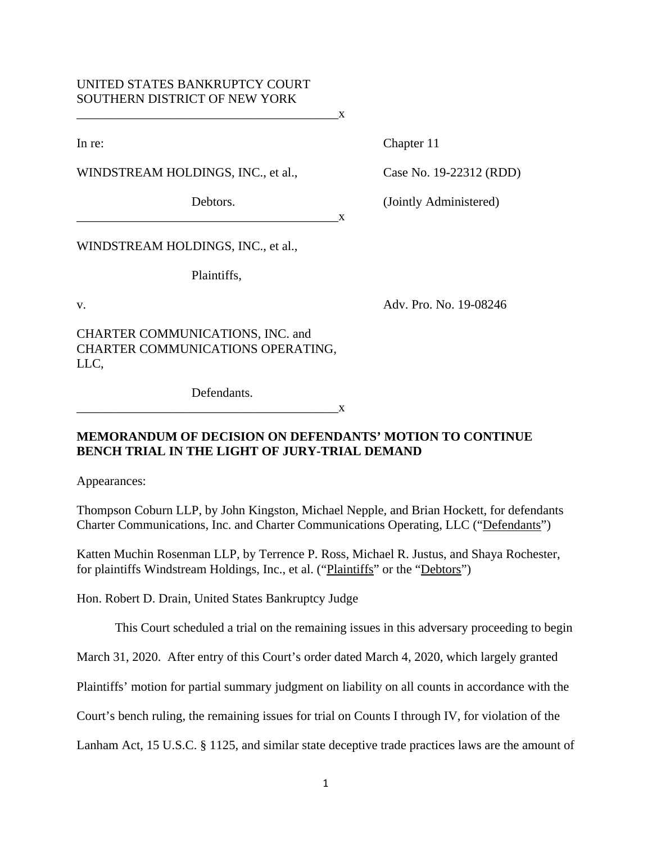# UNITED STATES BANKRUPTCY COURT SOUTHERN DISTRICT OF NEW YORK

In re: Chapter 11

WINDSTREAM HOLDINGS, INC., et al., Case No. 19-22312 (RDD)

 $\mathbf{X}$ 

Debtors. (Jointly Administered)

WINDSTREAM HOLDINGS, INC., et al.,

Plaintiffs,

v. Adv. Pro. No. 19-08246

CHARTER COMMUNICATIONS, INC. and CHARTER COMMUNICATIONS OPERATING, LLC,

Defendants.

 $X$ 

## **MEMORANDUM OF DECISION ON DEFENDANTS' MOTION TO CONTINUE BENCH TRIAL IN THE LIGHT OF JURY-TRIAL DEMAND**

 $\mathbf{x}$ 

Appearances:

Thompson Coburn LLP, by John Kingston, Michael Nepple, and Brian Hockett, for defendants Charter Communications, Inc. and Charter Communications Operating, LLC ("Defendants")

Katten Muchin Rosenman LLP, by Terrence P. Ross, Michael R. Justus, and Shaya Rochester, for plaintiffs Windstream Holdings, Inc., et al. ("Plaintiffs" or the "Debtors")

Hon. Robert D. Drain, United States Bankruptcy Judge

This Court scheduled a trial on the remaining issues in this adversary proceeding to begin

March 31, 2020. After entry of this Court's order dated March 4, 2020, which largely granted

Plaintiffs' motion for partial summary judgment on liability on all counts in accordance with the

Court's bench ruling, the remaining issues for trial on Counts I through IV, for violation of the

Lanham Act, 15 U.S.C. § 1125, and similar state deceptive trade practices laws are the amount of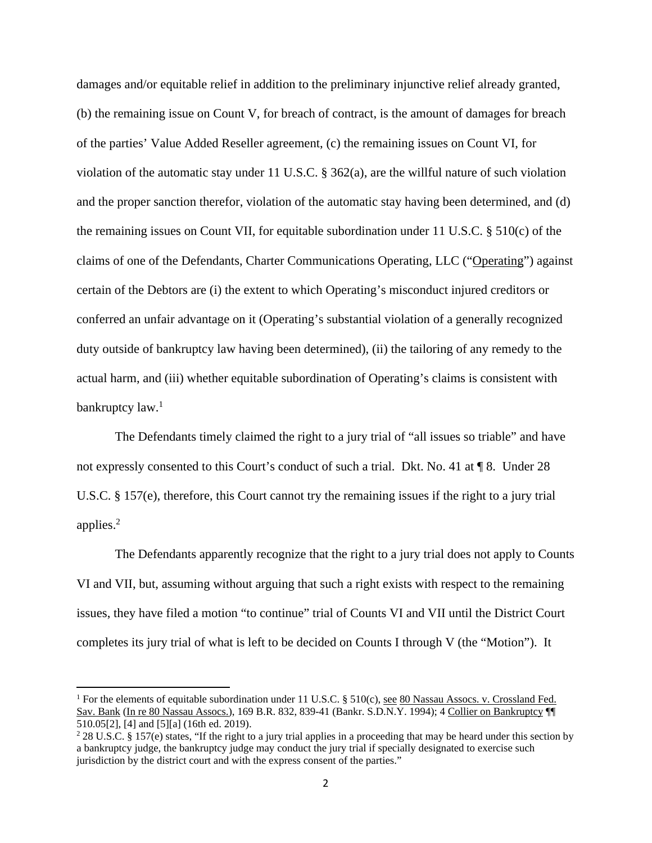damages and/or equitable relief in addition to the preliminary injunctive relief already granted, (b) the remaining issue on Count V, for breach of contract, is the amount of damages for breach of the parties' Value Added Reseller agreement, (c) the remaining issues on Count VI, for violation of the automatic stay under 11 U.S.C. § 362(a), are the willful nature of such violation and the proper sanction therefor, violation of the automatic stay having been determined, and (d) the remaining issues on Count VII, for equitable subordination under 11 U.S.C. § 510(c) of the claims of one of the Defendants, Charter Communications Operating, LLC ("Operating") against certain of the Debtors are (i) the extent to which Operating's misconduct injured creditors or conferred an unfair advantage on it (Operating's substantial violation of a generally recognized duty outside of bankruptcy law having been determined), (ii) the tailoring of any remedy to the actual harm, and (iii) whether equitable subordination of Operating's claims is consistent with bankruptcy law.<sup>1</sup>

The Defendants timely claimed the right to a jury trial of "all issues so triable" and have not expressly consented to this Court's conduct of such a trial. Dkt. No. 41 at  $\P$  8. Under 28 U.S.C. § 157(e), therefore, this Court cannot try the remaining issues if the right to a jury trial applies.2

The Defendants apparently recognize that the right to a jury trial does not apply to Counts VI and VII, but, assuming without arguing that such a right exists with respect to the remaining issues, they have filed a motion "to continue" trial of Counts VI and VII until the District Court completes its jury trial of what is left to be decided on Counts I through V (the "Motion"). It

<sup>&</sup>lt;sup>1</sup> For the elements of equitable subordination under 11 U.S.C. § 510(c), <u>see 80 Nassau Assocs. v. Crossland Fed.</u> Sav. Bank (In re 80 Nassau Assocs.), 169 B.R. 832, 839-41 (Bankr. S.D.N.Y. 1994); 4 Collier on Bankruptcy ¶¶ 510.05[2], [4] and [5][a] (16th ed. 2019).

<sup>&</sup>lt;sup>2</sup> 28 U.S.C. § 157(e) states, "If the right to a jury trial applies in a proceeding that may be heard under this section by a bankruptcy judge, the bankruptcy judge may conduct the jury trial if specially designated to exercise such jurisdiction by the district court and with the express consent of the parties."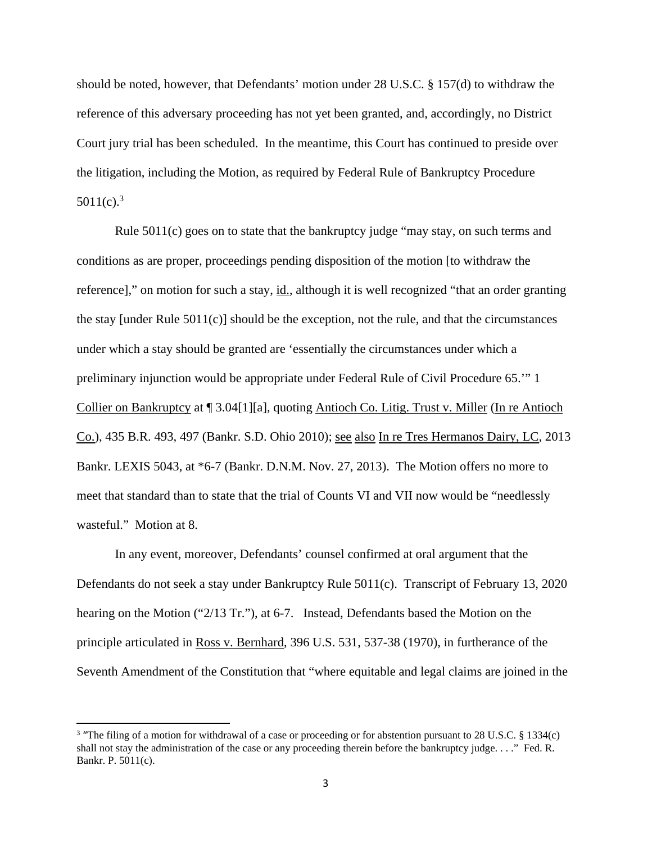should be noted, however, that Defendants' motion under 28 U.S.C. § 157(d) to withdraw the reference of this adversary proceeding has not yet been granted, and, accordingly, no District Court jury trial has been scheduled. In the meantime, this Court has continued to preside over the litigation, including the Motion, as required by Federal Rule of Bankruptcy Procedure  $5011(c).<sup>3</sup>$ 

Rule 5011(c) goes on to state that the bankruptcy judge "may stay, on such terms and conditions as are proper, proceedings pending disposition of the motion [to withdraw the reference]," on motion for such a stay, id., although it is well recognized "that an order granting the stay [under Rule 5011(c)] should be the exception, not the rule, and that the circumstances under which a stay should be granted are 'essentially the circumstances under which a preliminary injunction would be appropriate under Federal Rule of Civil Procedure 65.'" 1 Collier on Bankruptcy at ¶ 3.04[1][a], quoting Antioch Co. Litig. Trust v. Miller (In re Antioch Co.), 435 B.R. 493, 497 (Bankr. S.D. Ohio 2010); see also In re Tres Hermanos Dairy, LC, 2013 Bankr. LEXIS 5043, at \*6-7 (Bankr. D.N.M. Nov. 27, 2013). The Motion offers no more to meet that standard than to state that the trial of Counts VI and VII now would be "needlessly wasteful." Motion at 8.

In any event, moreover, Defendants' counsel confirmed at oral argument that the Defendants do not seek a stay under Bankruptcy Rule 5011(c). Transcript of February 13, 2020 hearing on the Motion ("2/13 Tr."), at 6-7. Instead, Defendants based the Motion on the principle articulated in Ross v. Bernhard, 396 U.S. 531, 537-38 (1970), in furtherance of the Seventh Amendment of the Constitution that "where equitable and legal claims are joined in the

<sup>&</sup>lt;sup>3</sup> "The filing of a motion for withdrawal of a case or proceeding or for abstention pursuant to 28 U.S.C. § 1334(c) shall not stay the administration of the case or any proceeding therein before the bankruptcy judge. . . ." Fed. R. Bankr. P. 5011(c).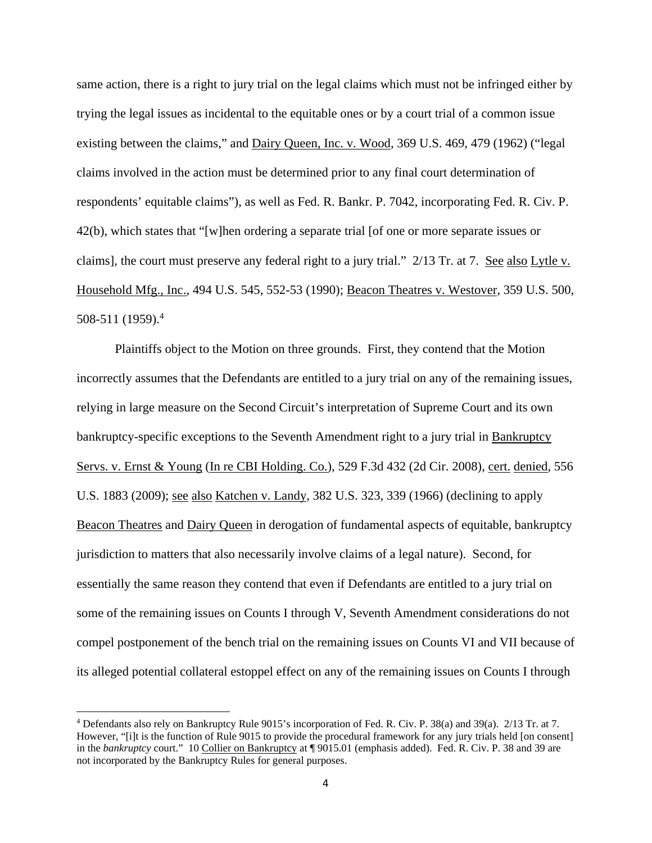same action, there is a right to jury trial on the legal claims which must not be infringed either by trying the legal issues as incidental to the equitable ones or by a court trial of a common issue existing between the claims," and Dairy Queen, Inc. v. Wood, 369 U.S. 469, 479 (1962) ("legal claims involved in the action must be determined prior to any final court determination of respondents' equitable claims"), as well as Fed. R. Bankr. P. 7042, incorporating Fed. R. Civ. P. 42(b), which states that "[w]hen ordering a separate trial [of one or more separate issues or claims], the court must preserve any federal right to a jury trial." 2/13 Tr. at 7. See also Lytle v. Household Mfg., Inc., 494 U.S. 545, 552-53 (1990); Beacon Theatres v. Westover, 359 U.S. 500, 508-511 (1959).4

Plaintiffs object to the Motion on three grounds. First, they contend that the Motion incorrectly assumes that the Defendants are entitled to a jury trial on any of the remaining issues, relying in large measure on the Second Circuit's interpretation of Supreme Court and its own bankruptcy-specific exceptions to the Seventh Amendment right to a jury trial in Bankruptcy Servs. v. Ernst & Young (In re CBI Holding. Co.), 529 F.3d 432 (2d Cir. 2008), cert. denied, 556 U.S. 1883 (2009); see also Katchen v. Landy, 382 U.S. 323, 339 (1966) (declining to apply Beacon Theatres and Dairy Queen in derogation of fundamental aspects of equitable, bankruptcy jurisdiction to matters that also necessarily involve claims of a legal nature). Second, for essentially the same reason they contend that even if Defendants are entitled to a jury trial on some of the remaining issues on Counts I through V, Seventh Amendment considerations do not compel postponement of the bench trial on the remaining issues on Counts VI and VII because of its alleged potential collateral estoppel effect on any of the remaining issues on Counts I through

<sup>4</sup> Defendants also rely on Bankruptcy Rule 9015's incorporation of Fed. R. Civ. P. 38(a) and 39(a). 2/13 Tr. at 7. However, "[i]t is the function of Rule 9015 to provide the procedural framework for any jury trials held [on consent] in the *bankruptcy* court." 10 Collier on Bankruptcy at ¶ 9015.01 (emphasis added). Fed. R. Civ. P. 38 and 39 are not incorporated by the Bankruptcy Rules for general purposes.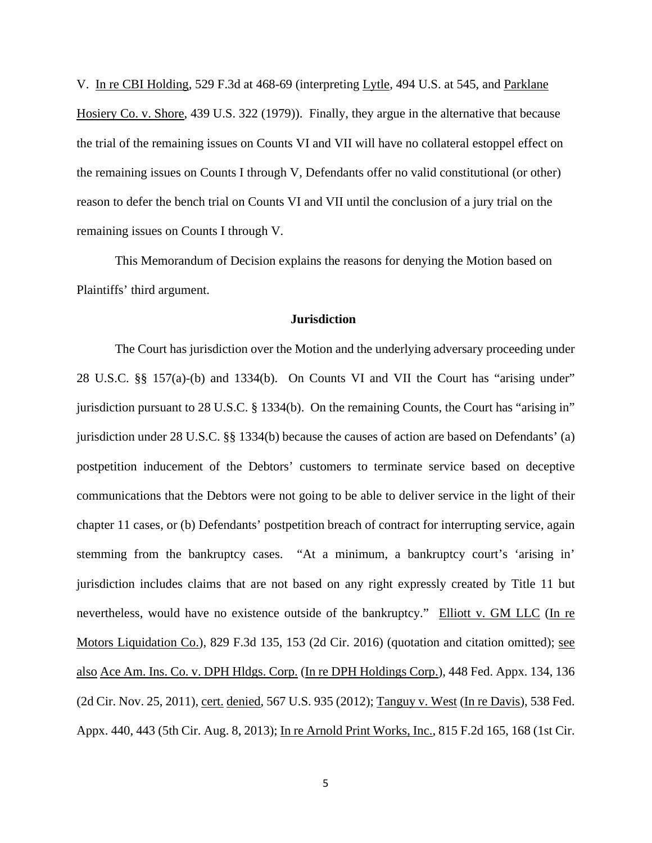V. In re CBI Holding, 529 F.3d at 468-69 (interpreting Lytle, 494 U.S. at 545, and Parklane Hosiery Co. v. Shore, 439 U.S. 322 (1979)). Finally, they argue in the alternative that because the trial of the remaining issues on Counts VI and VII will have no collateral estoppel effect on the remaining issues on Counts I through V, Defendants offer no valid constitutional (or other) reason to defer the bench trial on Counts VI and VII until the conclusion of a jury trial on the remaining issues on Counts I through V.

This Memorandum of Decision explains the reasons for denying the Motion based on Plaintiffs' third argument.

### **Jurisdiction**

The Court has jurisdiction over the Motion and the underlying adversary proceeding under 28 U.S.C. §§ 157(a)-(b) and 1334(b). On Counts VI and VII the Court has "arising under" jurisdiction pursuant to 28 U.S.C. § 1334(b). On the remaining Counts, the Court has "arising in" jurisdiction under 28 U.S.C. §§ 1334(b) because the causes of action are based on Defendants' (a) postpetition inducement of the Debtors' customers to terminate service based on deceptive communications that the Debtors were not going to be able to deliver service in the light of their chapter 11 cases, or (b) Defendants' postpetition breach of contract for interrupting service, again stemming from the bankruptcy cases. "At a minimum, a bankruptcy court's 'arising in' jurisdiction includes claims that are not based on any right expressly created by Title 11 but nevertheless, would have no existence outside of the bankruptcy." Elliott v. GM LLC (In re Motors Liquidation Co.), 829 F.3d 135, 153 (2d Cir. 2016) (quotation and citation omitted); see also Ace Am. Ins. Co. v. DPH Hldgs. Corp. (In re DPH Holdings Corp.), 448 Fed. Appx. 134, 136 (2d Cir. Nov. 25, 2011), cert. denied, 567 U.S. 935 (2012); Tanguy v. West (In re Davis), 538 Fed. Appx. 440, 443 (5th Cir. Aug. 8, 2013); In re Arnold Print Works, Inc., 815 F.2d 165, 168 (1st Cir.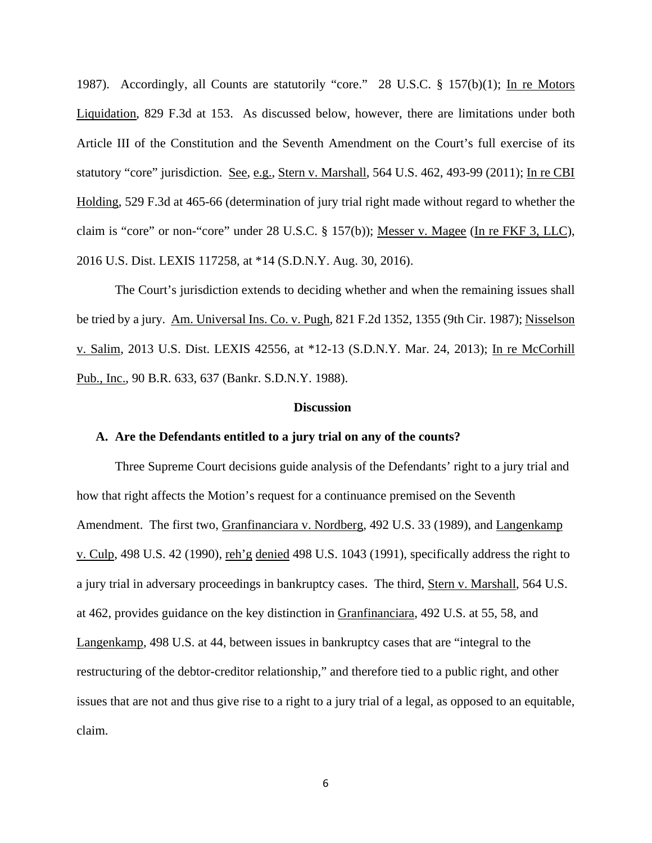1987). Accordingly, all Counts are statutorily "core." 28 U.S.C. § 157(b)(1); In re Motors Liquidation, 829 F.3d at 153. As discussed below, however, there are limitations under both Article III of the Constitution and the Seventh Amendment on the Court's full exercise of its statutory "core" jurisdiction. See, e.g., Stern v. Marshall, 564 U.S. 462, 493-99 (2011); In re CBI Holding, 529 F.3d at 465-66 (determination of jury trial right made without regard to whether the claim is "core" or non-"core" under 28 U.S.C. § 157(b)); Messer v. Magee (In re FKF 3, LLC), 2016 U.S. Dist. LEXIS 117258, at \*14 (S.D.N.Y. Aug. 30, 2016).

The Court's jurisdiction extends to deciding whether and when the remaining issues shall be tried by a jury. Am. Universal Ins. Co. v. Pugh, 821 F.2d 1352, 1355 (9th Cir. 1987); Nisselson v. Salim, 2013 U.S. Dist. LEXIS 42556, at \*12-13 (S.D.N.Y. Mar. 24, 2013); In re McCorhill Pub., Inc., 90 B.R. 633, 637 (Bankr. S.D.N.Y. 1988).

### **Discussion**

#### **A. Are the Defendants entitled to a jury trial on any of the counts?**

Three Supreme Court decisions guide analysis of the Defendants' right to a jury trial and how that right affects the Motion's request for a continuance premised on the Seventh Amendment. The first two, Granfinanciara v. Nordberg, 492 U.S. 33 (1989), and Langenkamp v. Culp, 498 U.S. 42 (1990), reh'g denied 498 U.S. 1043 (1991), specifically address the right to a jury trial in adversary proceedings in bankruptcy cases. The third, Stern v. Marshall, 564 U.S. at 462, provides guidance on the key distinction in Granfinanciara, 492 U.S. at 55, 58, and Langenkamp, 498 U.S. at 44, between issues in bankruptcy cases that are "integral to the restructuring of the debtor-creditor relationship," and therefore tied to a public right, and other issues that are not and thus give rise to a right to a jury trial of a legal, as opposed to an equitable, claim.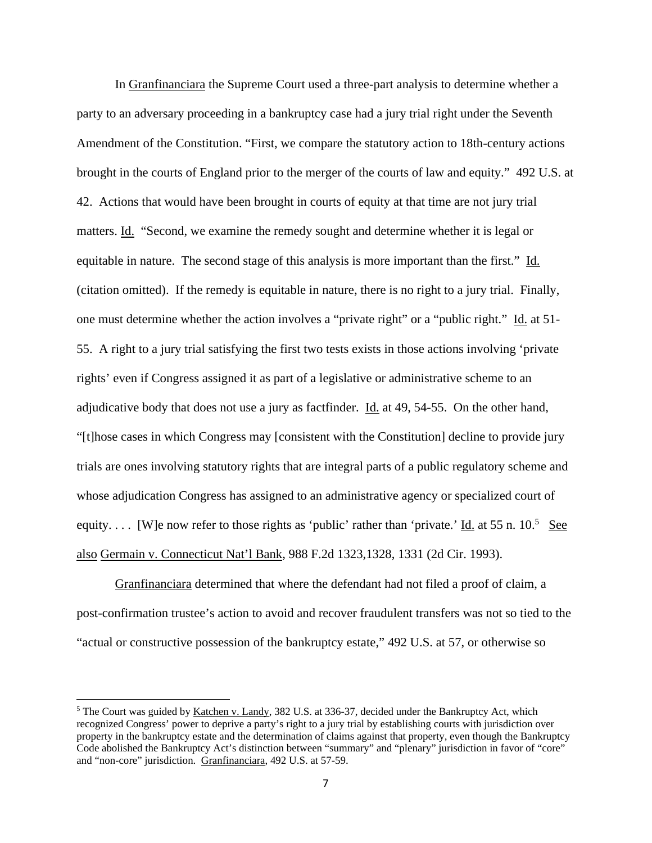In Granfinanciara the Supreme Court used a three-part analysis to determine whether a party to an adversary proceeding in a bankruptcy case had a jury trial right under the Seventh Amendment of the Constitution. "First, we compare the statutory action to 18th-century actions brought in the courts of England prior to the merger of the courts of law and equity." 492 U.S. at 42. Actions that would have been brought in courts of equity at that time are not jury trial matters. Id. "Second, we examine the remedy sought and determine whether it is legal or equitable in nature. The second stage of this analysis is more important than the first." Id. (citation omitted). If the remedy is equitable in nature, there is no right to a jury trial. Finally, one must determine whether the action involves a "private right" or a "public right." Id. at 51- 55. A right to a jury trial satisfying the first two tests exists in those actions involving 'private rights' even if Congress assigned it as part of a legislative or administrative scheme to an adjudicative body that does not use a jury as factfinder. Id. at 49, 54-55. On the other hand, "[t]hose cases in which Congress may [consistent with the Constitution] decline to provide jury trials are ones involving statutory rights that are integral parts of a public regulatory scheme and whose adjudication Congress has assigned to an administrative agency or specialized court of equity.... [W]e now refer to those rights as 'public' rather than 'private.' <u>Id.</u> at 55 n. 10.<sup>5</sup> See also Germain v. Connecticut Nat'l Bank, 988 F.2d 1323,1328, 1331 (2d Cir. 1993).

Granfinanciara determined that where the defendant had not filed a proof of claim, a post-confirmation trustee's action to avoid and recover fraudulent transfers was not so tied to the "actual or constructive possession of the bankruptcy estate," 492 U.S. at 57, or otherwise so

<sup>&</sup>lt;sup>5</sup> The Court was guided by Katchen v. Landy, 382 U.S. at 336-37, decided under the Bankruptcy Act, which recognized Congress' power to deprive a party's right to a jury trial by establishing courts with jurisdiction over property in the bankruptcy estate and the determination of claims against that property, even though the Bankruptcy Code abolished the Bankruptcy Act's distinction between "summary" and "plenary" jurisdiction in favor of "core" and "non-core" jurisdiction. Granfinanciara, 492 U.S. at 57-59.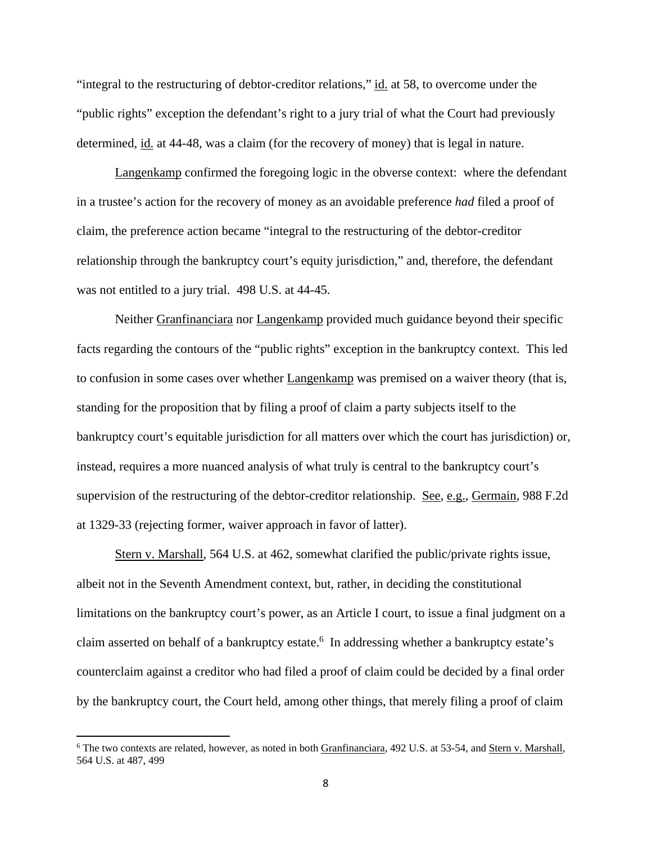"integral to the restructuring of debtor-creditor relations," id. at 58, to overcome under the "public rights" exception the defendant's right to a jury trial of what the Court had previously determined, id. at 44-48, was a claim (for the recovery of money) that is legal in nature.

Langenkamp confirmed the foregoing logic in the obverse context: where the defendant in a trustee's action for the recovery of money as an avoidable preference *had* filed a proof of claim, the preference action became "integral to the restructuring of the debtor-creditor relationship through the bankruptcy court's equity jurisdiction," and, therefore, the defendant was not entitled to a jury trial. 498 U.S. at 44-45.

Neither Granfinanciara nor Langenkamp provided much guidance beyond their specific facts regarding the contours of the "public rights" exception in the bankruptcy context. This led to confusion in some cases over whether Langenkamp was premised on a waiver theory (that is, standing for the proposition that by filing a proof of claim a party subjects itself to the bankruptcy court's equitable jurisdiction for all matters over which the court has jurisdiction) or, instead, requires a more nuanced analysis of what truly is central to the bankruptcy court's supervision of the restructuring of the debtor-creditor relationship. See, e.g., Germain, 988 F.2d at 1329-33 (rejecting former, waiver approach in favor of latter).

Stern v. Marshall, 564 U.S. at 462, somewhat clarified the public/private rights issue, albeit not in the Seventh Amendment context, but, rather, in deciding the constitutional limitations on the bankruptcy court's power, as an Article I court, to issue a final judgment on a claim asserted on behalf of a bankruptcy estate.<sup>6</sup> In addressing whether a bankruptcy estate's counterclaim against a creditor who had filed a proof of claim could be decided by a final order by the bankruptcy court, the Court held, among other things, that merely filing a proof of claim

<sup>&</sup>lt;sup>6</sup> The two contexts are related, however, as noted in both Granfinanciara, 492 U.S. at 53-54, and Stern v. Marshall, 564 U.S. at 487, 499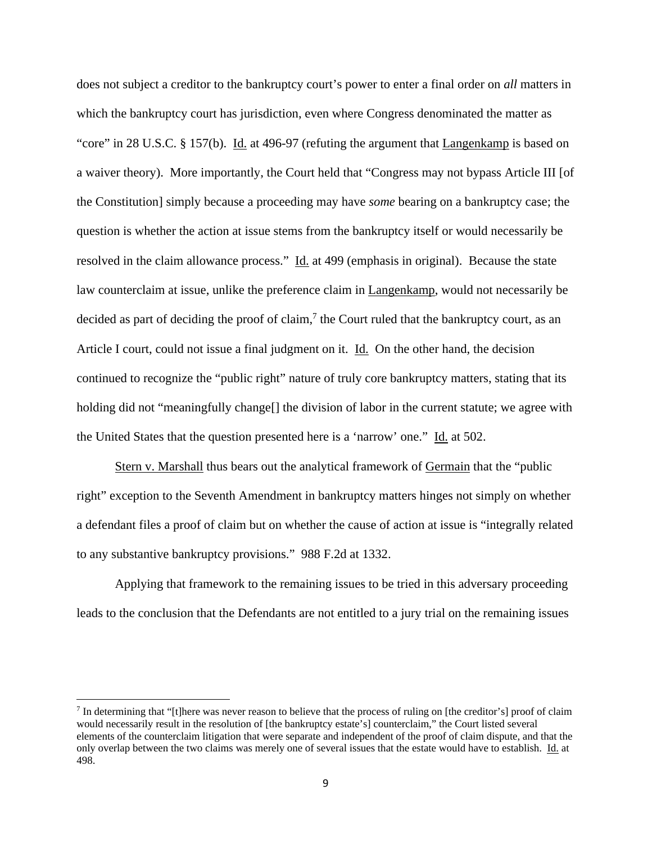does not subject a creditor to the bankruptcy court's power to enter a final order on *all* matters in which the bankruptcy court has jurisdiction, even where Congress denominated the matter as "core" in 28 U.S.C. § 157(b). Id. at 496-97 (refuting the argument that Langenkamp is based on a waiver theory). More importantly, the Court held that "Congress may not bypass Article III [of the Constitution] simply because a proceeding may have *some* bearing on a bankruptcy case; the question is whether the action at issue stems from the bankruptcy itself or would necessarily be resolved in the claim allowance process." Id. at 499 (emphasis in original). Because the state law counterclaim at issue, unlike the preference claim in Langenkamp, would not necessarily be decided as part of deciding the proof of claim,<sup>7</sup> the Court ruled that the bankruptcy court, as an Article I court, could not issue a final judgment on it. Id. On the other hand, the decision continued to recognize the "public right" nature of truly core bankruptcy matters, stating that its holding did not "meaningfully change<sup>[]</sup> the division of labor in the current statute; we agree with the United States that the question presented here is a 'narrow' one." Id. at 502.

Stern v. Marshall thus bears out the analytical framework of Germain that the "public right" exception to the Seventh Amendment in bankruptcy matters hinges not simply on whether a defendant files a proof of claim but on whether the cause of action at issue is "integrally related to any substantive bankruptcy provisions." 988 F.2d at 1332.

Applying that framework to the remaining issues to be tried in this adversary proceeding leads to the conclusion that the Defendants are not entitled to a jury trial on the remaining issues

 $^7$  In determining that "[t]here was never reason to believe that the process of ruling on [the creditor's] proof of claim would necessarily result in the resolution of [the bankruptcy estate's] counterclaim," the Court listed several elements of the counterclaim litigation that were separate and independent of the proof of claim dispute, and that the only overlap between the two claims was merely one of several issues that the estate would have to establish. Id. at 498.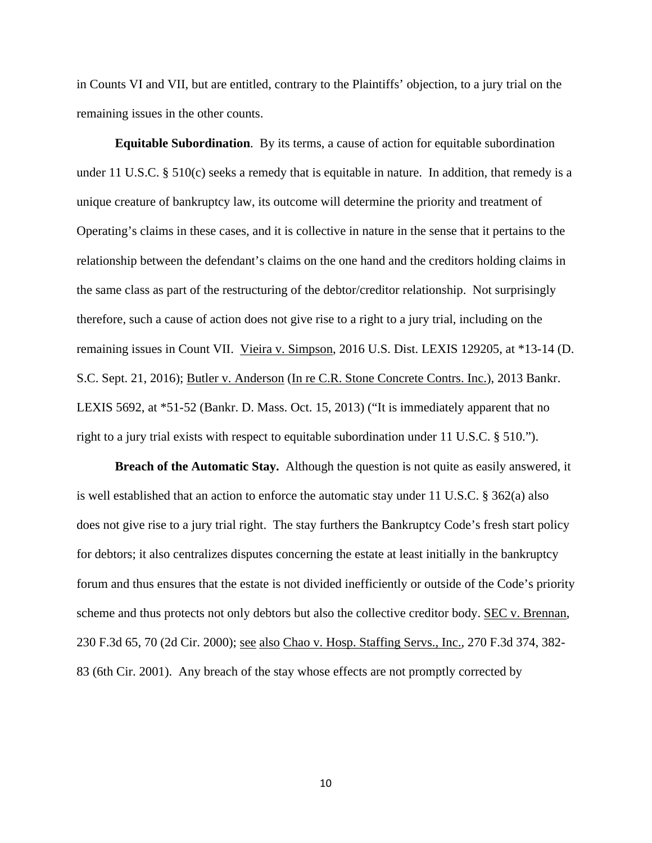in Counts VI and VII, but are entitled, contrary to the Plaintiffs' objection, to a jury trial on the remaining issues in the other counts.

**Equitable Subordination**. By its terms, a cause of action for equitable subordination under 11 U.S.C. § 510(c) seeks a remedy that is equitable in nature. In addition, that remedy is a unique creature of bankruptcy law, its outcome will determine the priority and treatment of Operating's claims in these cases, and it is collective in nature in the sense that it pertains to the relationship between the defendant's claims on the one hand and the creditors holding claims in the same class as part of the restructuring of the debtor/creditor relationship. Not surprisingly therefore, such a cause of action does not give rise to a right to a jury trial, including on the remaining issues in Count VII. Vieira v. Simpson, 2016 U.S. Dist. LEXIS 129205, at \*13-14 (D. S.C. Sept. 21, 2016); Butler v. Anderson (In re C.R. Stone Concrete Contrs. Inc.), 2013 Bankr. LEXIS 5692, at \*51-52 (Bankr. D. Mass. Oct. 15, 2013) ("It is immediately apparent that no right to a jury trial exists with respect to equitable subordination under 11 U.S.C. § 510.").

**Breach of the Automatic Stay.** Although the question is not quite as easily answered, it is well established that an action to enforce the automatic stay under 11 U.S.C. § 362(a) also does not give rise to a jury trial right. The stay furthers the Bankruptcy Code's fresh start policy for debtors; it also centralizes disputes concerning the estate at least initially in the bankruptcy forum and thus ensures that the estate is not divided inefficiently or outside of the Code's priority scheme and thus protects not only debtors but also the collective creditor body. SEC v. Brennan, 230 F.3d 65, 70 (2d Cir. 2000); see also Chao v. Hosp. Staffing Servs., Inc., 270 F.3d 374, 382- 83 (6th Cir. 2001). Any breach of the stay whose effects are not promptly corrected by

10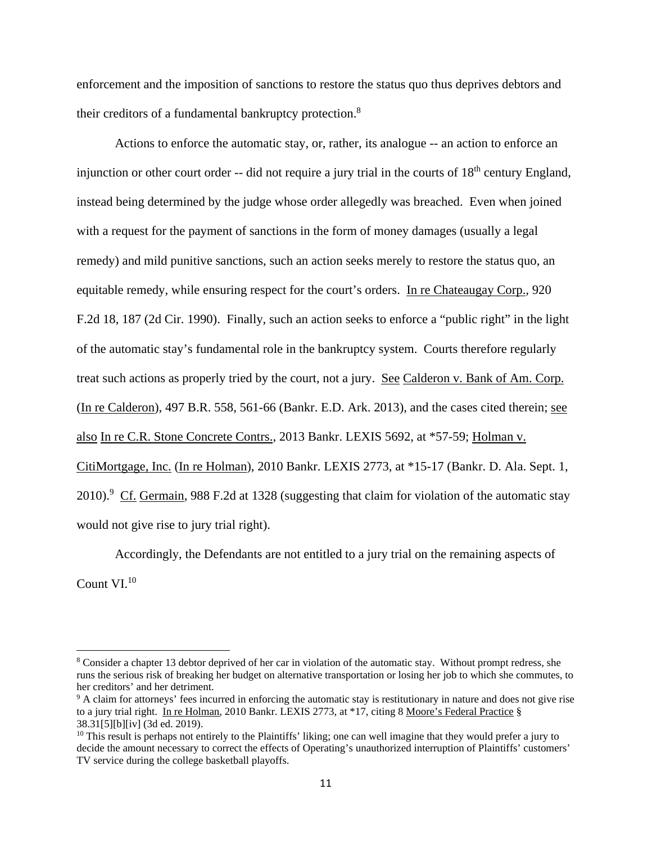enforcement and the imposition of sanctions to restore the status quo thus deprives debtors and their creditors of a fundamental bankruptcy protection.<sup>8</sup>

Actions to enforce the automatic stay, or, rather, its analogue -- an action to enforce an injunction or other court order  $-$ - did not require a jury trial in the courts of  $18<sup>th</sup>$  century England, instead being determined by the judge whose order allegedly was breached. Even when joined with a request for the payment of sanctions in the form of money damages (usually a legal remedy) and mild punitive sanctions, such an action seeks merely to restore the status quo, an equitable remedy, while ensuring respect for the court's orders. In re Chateaugay Corp., 920 F.2d 18, 187 (2d Cir. 1990). Finally, such an action seeks to enforce a "public right" in the light of the automatic stay's fundamental role in the bankruptcy system. Courts therefore regularly treat such actions as properly tried by the court, not a jury. See Calderon v. Bank of Am. Corp. (In re Calderon), 497 B.R. 558, 561-66 (Bankr. E.D. Ark. 2013), and the cases cited therein; see also In re C.R. Stone Concrete Contrs., 2013 Bankr. LEXIS 5692, at \*57-59; Holman v. CitiMortgage, Inc. (In re Holman), 2010 Bankr. LEXIS 2773, at \*15-17 (Bankr. D. Ala. Sept. 1, 2010).<sup>9</sup> Cf. Germain, 988 F.2d at 1328 (suggesting that claim for violation of the automatic stay would not give rise to jury trial right).

Accordingly, the Defendants are not entitled to a jury trial on the remaining aspects of Count VI.10

<sup>&</sup>lt;sup>8</sup> Consider a chapter 13 debtor deprived of her car in violation of the automatic stay. Without prompt redress, she runs the serious risk of breaking her budget on alternative transportation or losing her job to which she commutes, to her creditors' and her detriment.

<sup>&</sup>lt;sup>9</sup> A claim for attorneys' fees incurred in enforcing the automatic stay is restitutionary in nature and does not give rise to a jury trial right. In re Holman, 2010 Bankr. LEXIS 2773, at \*17, citing 8 Moore's Federal Practice § 38.31[5][b][iv] (3d ed. 2019).

 $10$  This result is perhaps not entirely to the Plaintiffs' liking; one can well imagine that they would prefer a jury to decide the amount necessary to correct the effects of Operating's unauthorized interruption of Plaintiffs' customers' TV service during the college basketball playoffs.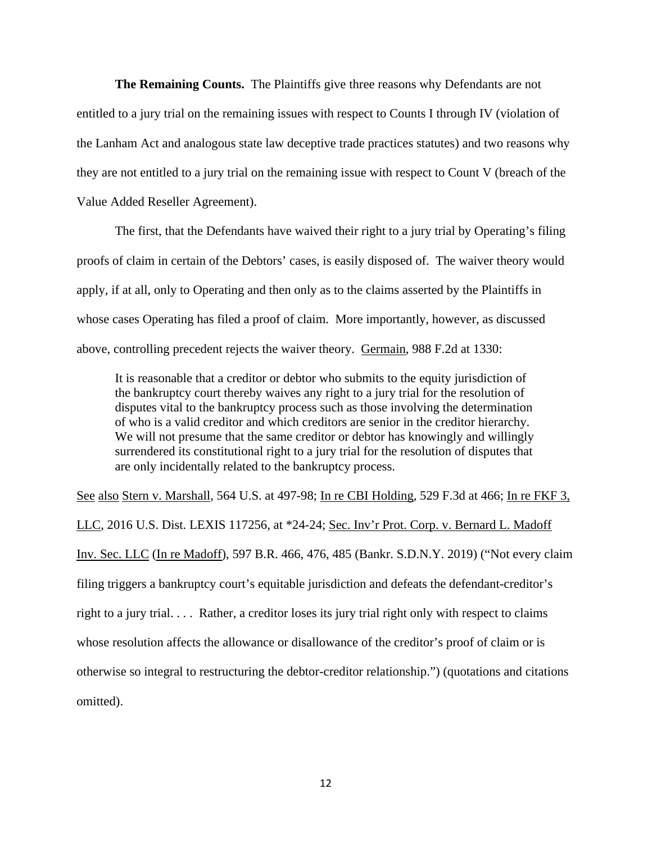**The Remaining Counts.** The Plaintiffs give three reasons why Defendants are not entitled to a jury trial on the remaining issues with respect to Counts I through IV (violation of the Lanham Act and analogous state law deceptive trade practices statutes) and two reasons why they are not entitled to a jury trial on the remaining issue with respect to Count V (breach of the Value Added Reseller Agreement).

The first, that the Defendants have waived their right to a jury trial by Operating's filing proofs of claim in certain of the Debtors' cases, is easily disposed of. The waiver theory would apply, if at all, only to Operating and then only as to the claims asserted by the Plaintiffs in whose cases Operating has filed a proof of claim. More importantly, however, as discussed above, controlling precedent rejects the waiver theory. Germain, 988 F.2d at 1330:

It is reasonable that a creditor or debtor who submits to the equity jurisdiction of the bankruptcy court thereby waives any right to a jury trial for the resolution of disputes vital to the bankruptcy process such as those involving the determination of who is a valid creditor and which creditors are senior in the creditor hierarchy. We will not presume that the same creditor or debtor has knowingly and willingly surrendered its constitutional right to a jury trial for the resolution of disputes that are only incidentally related to the bankruptcy process.

See also Stern v. Marshall, 564 U.S. at 497-98; In re CBI Holding, 529 F.3d at 466; In re FKF 3, LLC, 2016 U.S. Dist. LEXIS 117256, at \*24-24; Sec. Inv'r Prot. Corp. v. Bernard L. Madoff Inv. Sec. LLC (In re Madoff), 597 B.R. 466, 476, 485 (Bankr. S.D.N.Y. 2019) ("Not every claim filing triggers a bankruptcy court's equitable jurisdiction and defeats the defendant-creditor's right to a jury trial. . . . Rather, a creditor loses its jury trial right only with respect to claims whose resolution affects the allowance or disallowance of the creditor's proof of claim or is otherwise so integral to restructuring the debtor-creditor relationship.") (quotations and citations omitted).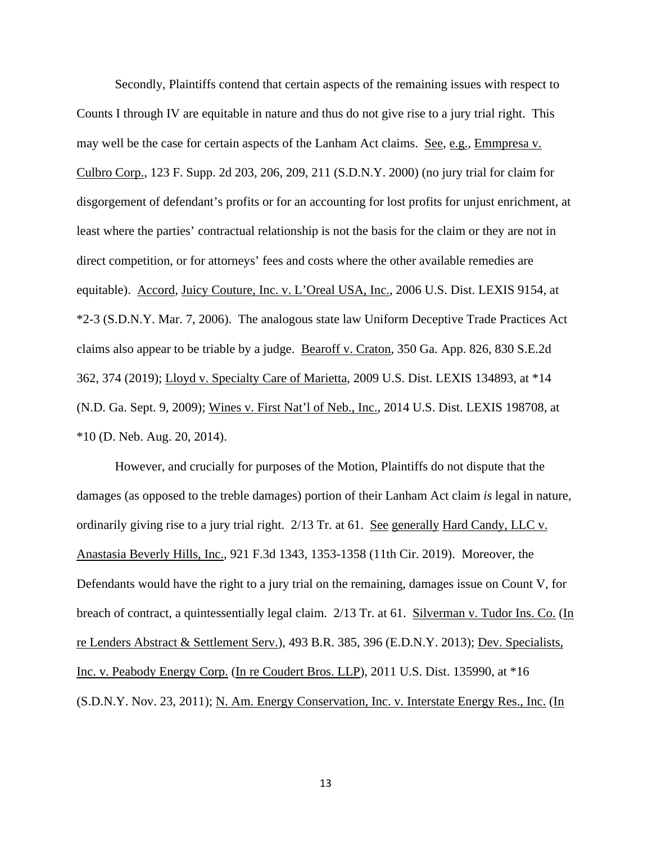Secondly, Plaintiffs contend that certain aspects of the remaining issues with respect to Counts I through IV are equitable in nature and thus do not give rise to a jury trial right. This may well be the case for certain aspects of the Lanham Act claims. See, e.g., Emmpresa v. Culbro Corp., 123 F. Supp. 2d 203, 206, 209, 211 (S.D.N.Y. 2000) (no jury trial for claim for disgorgement of defendant's profits or for an accounting for lost profits for unjust enrichment, at least where the parties' contractual relationship is not the basis for the claim or they are not in direct competition, or for attorneys' fees and costs where the other available remedies are equitable). Accord, Juicy Couture, Inc. v. L'Oreal USA, Inc., 2006 U.S. Dist. LEXIS 9154, at \*2-3 (S.D.N.Y. Mar. 7, 2006). The analogous state law Uniform Deceptive Trade Practices Act claims also appear to be triable by a judge. Bearoff v. Craton, 350 Ga. App. 826, 830 S.E.2d 362, 374 (2019); Lloyd v. Specialty Care of Marietta, 2009 U.S. Dist. LEXIS 134893, at \*14 (N.D. Ga. Sept. 9, 2009); Wines v. First Nat'l of Neb., Inc., 2014 U.S. Dist. LEXIS 198708, at \*10 (D. Neb. Aug. 20, 2014).

However, and crucially for purposes of the Motion, Plaintiffs do not dispute that the damages (as opposed to the treble damages) portion of their Lanham Act claim *is* legal in nature, ordinarily giving rise to a jury trial right. 2/13 Tr. at 61. See generally Hard Candy, LLC v. Anastasia Beverly Hills, Inc., 921 F.3d 1343, 1353-1358 (11th Cir. 2019). Moreover, the Defendants would have the right to a jury trial on the remaining, damages issue on Count V, for breach of contract, a quintessentially legal claim. 2/13 Tr. at 61. Silverman v. Tudor Ins. Co. (In re Lenders Abstract & Settlement Serv.), 493 B.R. 385, 396 (E.D.N.Y. 2013); Dev. Specialists, Inc. v. Peabody Energy Corp. (In re Coudert Bros. LLP), 2011 U.S. Dist. 135990, at \*16 (S.D.N.Y. Nov. 23, 2011); N. Am. Energy Conservation, Inc. v. Interstate Energy Res., Inc. (In

13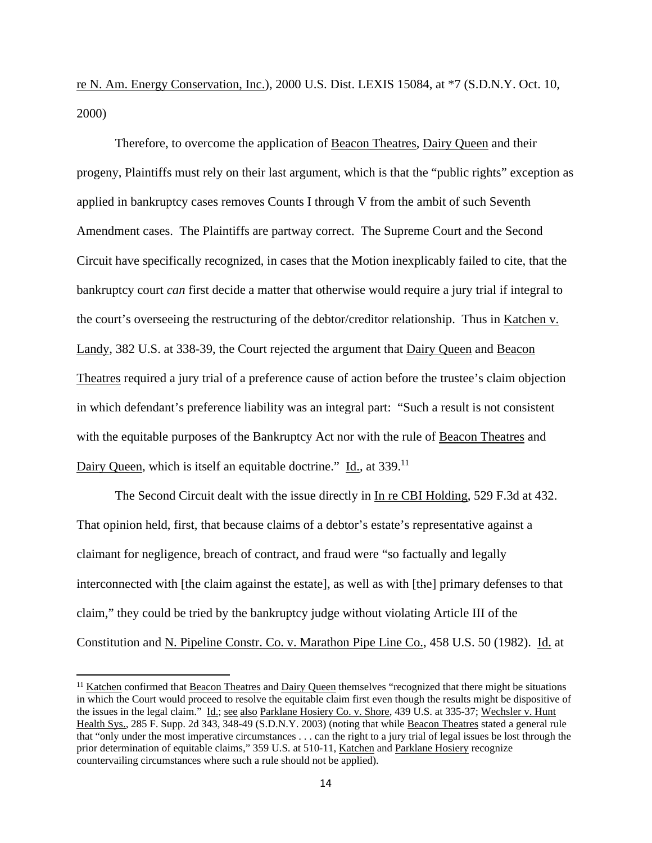re N. Am. Energy Conservation, Inc.), 2000 U.S. Dist. LEXIS 15084, at \*7 (S.D.N.Y. Oct. 10, 2000)

Therefore, to overcome the application of Beacon Theatres, Dairy Queen and their progeny, Plaintiffs must rely on their last argument, which is that the "public rights" exception as applied in bankruptcy cases removes Counts I through V from the ambit of such Seventh Amendment cases. The Plaintiffs are partway correct. The Supreme Court and the Second Circuit have specifically recognized, in cases that the Motion inexplicably failed to cite, that the bankruptcy court *can* first decide a matter that otherwise would require a jury trial if integral to the court's overseeing the restructuring of the debtor/creditor relationship. Thus in Katchen v. Landy, 382 U.S. at 338-39, the Court rejected the argument that Dairy Queen and Beacon Theatres required a jury trial of a preference cause of action before the trustee's claim objection in which defendant's preference liability was an integral part: "Such a result is not consistent with the equitable purposes of the Bankruptcy Act nor with the rule of Beacon Theatres and Dairy Queen, which is itself an equitable doctrine." Id., at 339.<sup>11</sup>

The Second Circuit dealt with the issue directly in In re CBI Holding, 529 F.3d at 432. That opinion held, first, that because claims of a debtor's estate's representative against a claimant for negligence, breach of contract, and fraud were "so factually and legally interconnected with [the claim against the estate], as well as with [the] primary defenses to that claim," they could be tried by the bankruptcy judge without violating Article III of the Constitution and N. Pipeline Constr. Co. v. Marathon Pipe Line Co., 458 U.S. 50 (1982). Id. at

<sup>&</sup>lt;sup>11</sup> Katchen confirmed that Beacon Theatres and Dairy Queen themselves "recognized that there might be situations in which the Court would proceed to resolve the equitable claim first even though the results might be dispositive of the issues in the legal claim." Id.; see also Parklane Hosiery Co. v. Shore, 439 U.S. at 335-37; Wechsler v. Hunt Health Sys., 285 F. Supp. 2d 343, 348-49 (S.D.N.Y. 2003) (noting that while Beacon Theatres stated a general rule that "only under the most imperative circumstances . . . can the right to a jury trial of legal issues be lost through the prior determination of equitable claims," 359 U.S. at 510-11, Katchen and Parklane Hosiery recognize countervailing circumstances where such a rule should not be applied).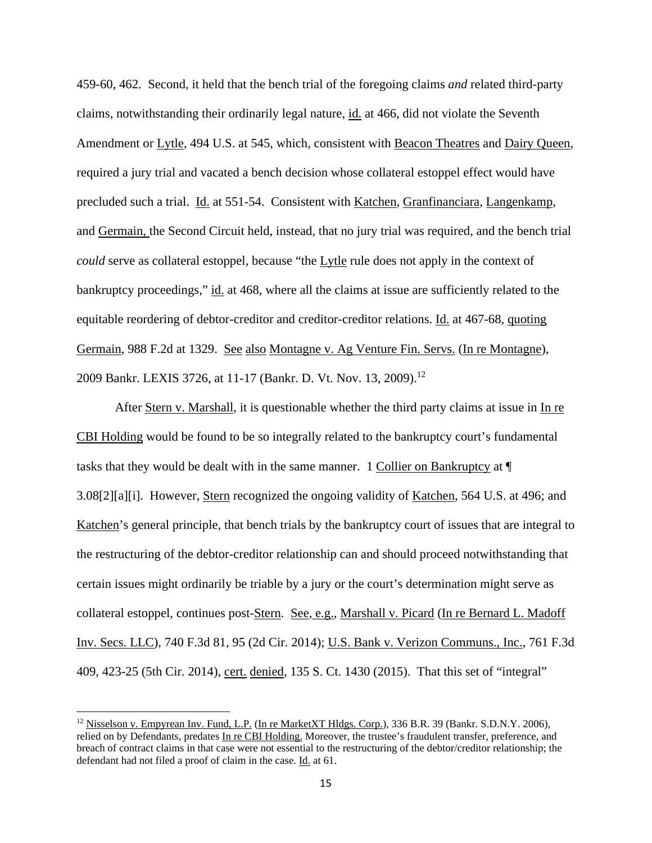459-60, 462. Second, it held that the bench trial of the foregoing claims *and* related third-party claims, notwithstanding their ordinarily legal nature, id. at 466, did not violate the Seventh Amendment or Lytle, 494 U.S. at 545, which, consistent with Beacon Theatres and Dairy Queen, required a jury trial and vacated a bench decision whose collateral estoppel effect would have precluded such a trial. Id. at 551-54. Consistent with Katchen, Granfinanciara, Langenkamp, and Germain, the Second Circuit held, instead, that no jury trial was required, and the bench trial *could* serve as collateral estoppel, because "the Lytle rule does not apply in the context of bankruptcy proceedings," id. at 468, where all the claims at issue are sufficiently related to the equitable reordering of debtor-creditor and creditor-creditor relations. Id. at 467-68, quoting Germain, 988 F.2d at 1329. See also Montagne v. Ag Venture Fin. Servs. (In re Montagne), 2009 Bankr. LEXIS 3726, at 11-17 (Bankr. D. Vt. Nov. 13, 2009).<sup>12</sup>

After Stern v. Marshall, it is questionable whether the third party claims at issue in In re CBI Holding would be found to be so integrally related to the bankruptcy court's fundamental tasks that they would be dealt with in the same manner. 1 Collier on Bankruptcy at ¶ 3.08[2][a][i]. However, Stern recognized the ongoing validity of Katchen, 564 U.S. at 496; and Katchen's general principle, that bench trials by the bankruptcy court of issues that are integral to the restructuring of the debtor-creditor relationship can and should proceed notwithstanding that certain issues might ordinarily be triable by a jury or the court's determination might serve as collateral estoppel, continues post-Stern. See, e.g., Marshall v. Picard (In re Bernard L. Madoff Inv. Secs. LLC), 740 F.3d 81, 95 (2d Cir. 2014); U.S. Bank v. Verizon Communs., Inc., 761 F.3d 409, 423-25 (5th Cir. 2014), cert. denied, 135 S. Ct. 1430 (2015). That this set of "integral"

<sup>&</sup>lt;sup>12</sup> Nisselson v. Empyrean Inv. Fund, L.P. (In re MarketXT Hldgs. Corp.), 336 B.R. 39 (Bankr. S.D.N.Y. 2006), relied on by Defendants, predates In re CBI Holding. Moreover, the trustee's fraudulent transfer, preference, and breach of contract claims in that case were not essential to the restructuring of the debtor/creditor relationship; the defendant had not filed a proof of claim in the case. Id. at 61.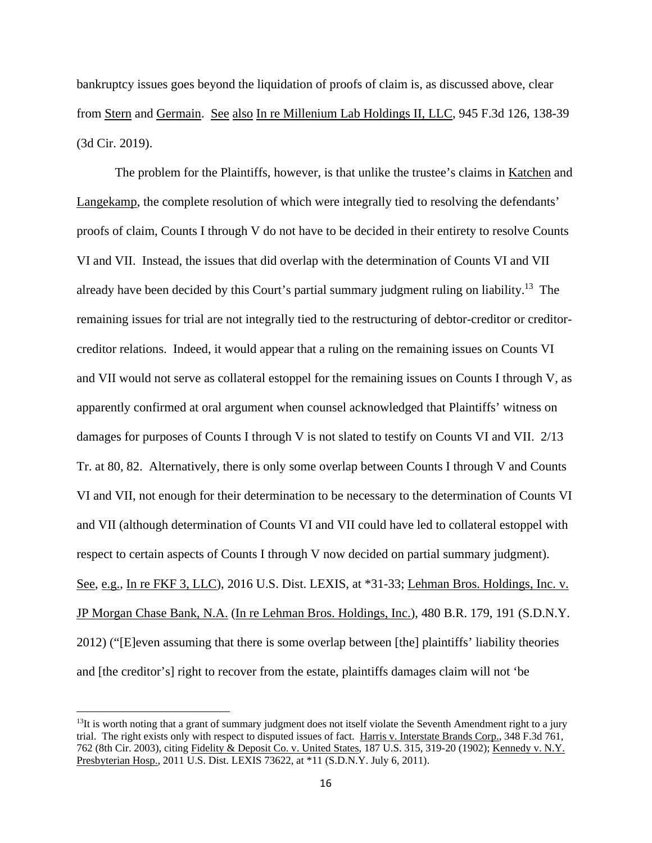bankruptcy issues goes beyond the liquidation of proofs of claim is, as discussed above, clear from Stern and Germain. See also In re Millenium Lab Holdings II, LLC, 945 F.3d 126, 138-39 (3d Cir. 2019).

The problem for the Plaintiffs, however, is that unlike the trustee's claims in Katchen and Langekamp, the complete resolution of which were integrally tied to resolving the defendants' proofs of claim, Counts I through V do not have to be decided in their entirety to resolve Counts VI and VII. Instead, the issues that did overlap with the determination of Counts VI and VII already have been decided by this Court's partial summary judgment ruling on liability.<sup>13</sup> The remaining issues for trial are not integrally tied to the restructuring of debtor-creditor or creditorcreditor relations. Indeed, it would appear that a ruling on the remaining issues on Counts VI and VII would not serve as collateral estoppel for the remaining issues on Counts I through V, as apparently confirmed at oral argument when counsel acknowledged that Plaintiffs' witness on damages for purposes of Counts I through V is not slated to testify on Counts VI and VII. 2/13 Tr. at 80, 82. Alternatively, there is only some overlap between Counts I through V and Counts VI and VII, not enough for their determination to be necessary to the determination of Counts VI and VII (although determination of Counts VI and VII could have led to collateral estoppel with respect to certain aspects of Counts I through V now decided on partial summary judgment). See, e.g., In re FKF 3, LLC), 2016 U.S. Dist. LEXIS, at \*31-33; Lehman Bros. Holdings, Inc. v. JP Morgan Chase Bank, N.A. (In re Lehman Bros. Holdings, Inc.), 480 B.R. 179, 191 (S.D.N.Y. 2012) ("[E]even assuming that there is some overlap between [the] plaintiffs' liability theories and [the creditor's] right to recover from the estate, plaintiffs damages claim will not 'be

 $13$ It is worth noting that a grant of summary judgment does not itself violate the Seventh Amendment right to a jury trial. The right exists only with respect to disputed issues of fact. Harris v. Interstate Brands Corp., 348 F.3d 761, 762 (8th Cir. 2003), citing Fidelity & Deposit Co. v. United States, 187 U.S. 315, 319-20 (1902); Kennedy v. N.Y. Presbyterian Hosp., 2011 U.S. Dist. LEXIS 73622, at \*11 (S.D.N.Y. July 6, 2011).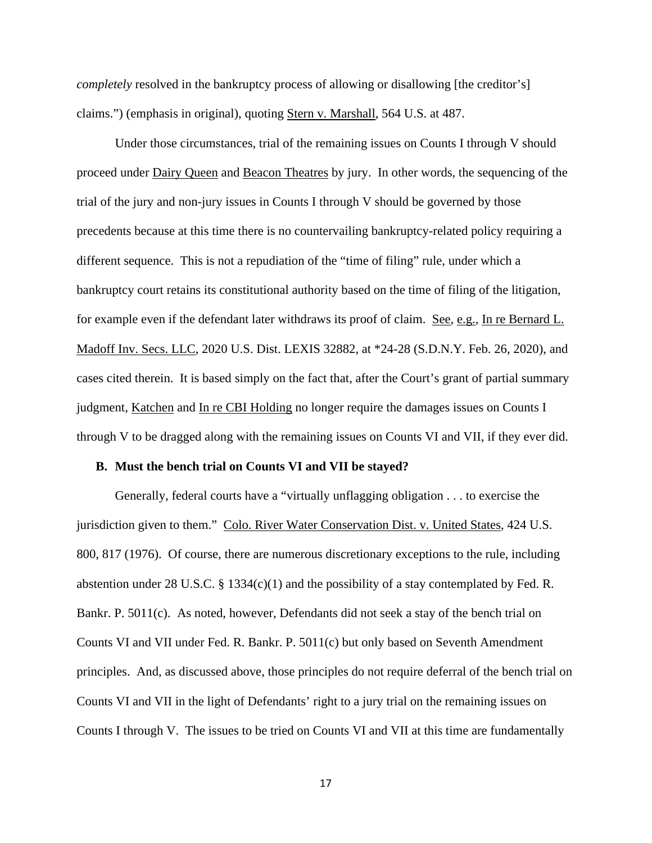*completely* resolved in the bankruptcy process of allowing or disallowing [the creditor's] claims.") (emphasis in original), quoting Stern v. Marshall, 564 U.S. at 487.

Under those circumstances, trial of the remaining issues on Counts I through V should proceed under Dairy Queen and Beacon Theatres by jury. In other words, the sequencing of the trial of the jury and non-jury issues in Counts I through V should be governed by those precedents because at this time there is no countervailing bankruptcy-related policy requiring a different sequence. This is not a repudiation of the "time of filing" rule, under which a bankruptcy court retains its constitutional authority based on the time of filing of the litigation, for example even if the defendant later withdraws its proof of claim. See, e.g., In re Bernard L. Madoff Inv. Secs. LLC, 2020 U.S. Dist. LEXIS 32882, at \*24-28 (S.D.N.Y. Feb. 26, 2020), and cases cited therein. It is based simply on the fact that, after the Court's grant of partial summary judgment, Katchen and In re CBI Holding no longer require the damages issues on Counts I through V to be dragged along with the remaining issues on Counts VI and VII, if they ever did.

#### **B. Must the bench trial on Counts VI and VII be stayed?**

Generally, federal courts have a "virtually unflagging obligation . . . to exercise the jurisdiction given to them." Colo. River Water Conservation Dist. v. United States, 424 U.S. 800, 817 (1976). Of course, there are numerous discretionary exceptions to the rule, including abstention under 28 U.S.C. § 1334(c)(1) and the possibility of a stay contemplated by Fed. R. Bankr. P. 5011(c). As noted, however, Defendants did not seek a stay of the bench trial on Counts VI and VII under Fed. R. Bankr. P. 5011(c) but only based on Seventh Amendment principles. And, as discussed above, those principles do not require deferral of the bench trial on Counts VI and VII in the light of Defendants' right to a jury trial on the remaining issues on Counts I through V. The issues to be tried on Counts VI and VII at this time are fundamentally

17